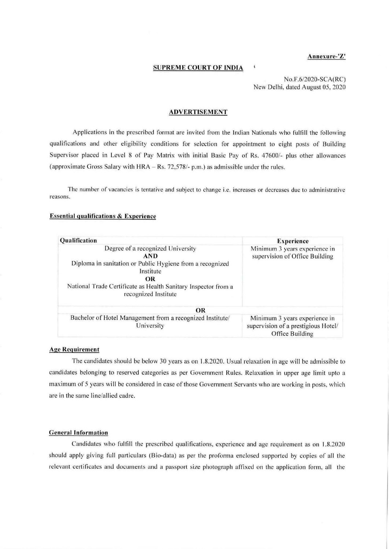#### **Annexure-'Z'**

## **SUPREME COURT OF INDIA**

No.F.6/2020-SCA(RC) New Delhi, dated August 05, 2020

#### **ADVERTISEMENT**

Applications in the prescribed format are invited from the Indian Nationals who fulfill the following qualifications and other eligibility conditions for selection for appointment to eight posts or Building Supervisor placed in Level 8 of Pay Matrix with initial Basic Pay of Rs. 47600/- plus other allowances (approximate Gross Salary with  $HRA - Rs.$  72,578/- p.m.) as admissible under the rules.

The number of vacancies is tentative and subject to change i.e. increases or decreases due to administrative reasons.

#### **Essential qualifications & Experience**

| Qualification                                                                                                                                                                                                                    | <b>Experience</b>                                                                       |  |  |
|----------------------------------------------------------------------------------------------------------------------------------------------------------------------------------------------------------------------------------|-----------------------------------------------------------------------------------------|--|--|
| Degree of a recognized University<br><b>AND</b><br>Diploma in sanitation or Public Hygiene from a recognized<br>Institute<br><b>OR</b><br>National Trade Certificate as Health Sanitary Inspector from a<br>recognized Institute | Minimum 3 years experience in<br>supervision of Office Building                         |  |  |
| OR                                                                                                                                                                                                                               |                                                                                         |  |  |
| Bachelor of Hotel Management from a recognized Institute/<br>University                                                                                                                                                          | Minimum 3 years experience in<br>supervision of a prestigious Hotel/<br>Office Building |  |  |

#### **Age Requirement**

The candidates should be below 30 years as on 1.8.2020. Usual relaxation in age will be admissible to candidates belonging to reserved categories as per Government Rules. Relaxation in upper age limit upto a max imum of 5 years will be considered in case of those Government Servants who are working in posts. which are in the same line/allied cadre.

## **General Information**

Candidates who fulfill the prescribed qualifications, experience and age requirement as on 1.8.2020 should apply giving full particulars (Bio-data) as per the proforma enclosed supported by copies of all the relevant certificates and documents and a passport size photograph affixed on the application form, all the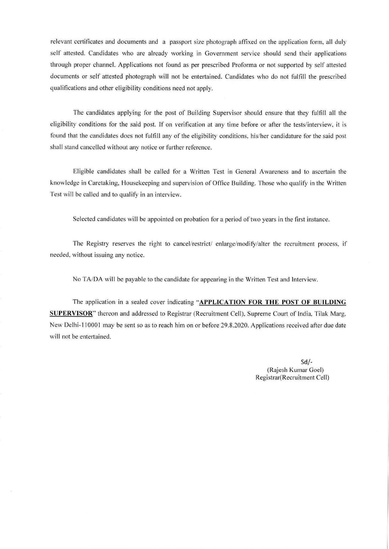relevant certificates and documents and a passport size photograph affixed on the application form, all duly self attested. Candidates who are already working in Government service should send their applications through proper channel. Applications not found as per prescribed Proforma or not supported by self attested documents or self attested photograph will not be entertained. Candidates who do not fulfill the prescribed qualifications and other eligibility conditions need not apply.

The candidates applying for the post of Building Supervisor should ensure that they fulfill all the eligibility conditions for the said post. If on verification at any time before or after the tests/interview. it is found that the candidates does not fulfill any of the eligibility conditions. his/her candidature for the said post shall stand cancelled without any notice or further reference.

Eligible candidates shall be called for a Written Test in General Awareness and to ascertain the knowledge in Caretaking. Housekeeping and supervision of Office Building. Those who qualify in the Written Test will be called and to qualify in an interview.

Selected candidates will be appointed on probation for a period of two years in the first instance.

The Registry reserves the right to cancel/restrict/ enlarge/modify/alter the recruitment process. if needed. without issuing any notice.

No TA/DA will be payable to the candidate for appearing in the Written Test and Interview.

The application in a sealed cover indicating **"APPLICATION FOR THE POST OF BUILDING SUPERVISOR'.** thereon and addressed to Registrar (Recruitment Cell), Supreme Court of India, Tilak Marg, New Delhi-110001 may be sent so as to reach him on or before 29.8.2020. Applications received after due date will not be entertained.

> Sd/- (Rajesh Kumar Goel) Registrar(Recruitment Cell)